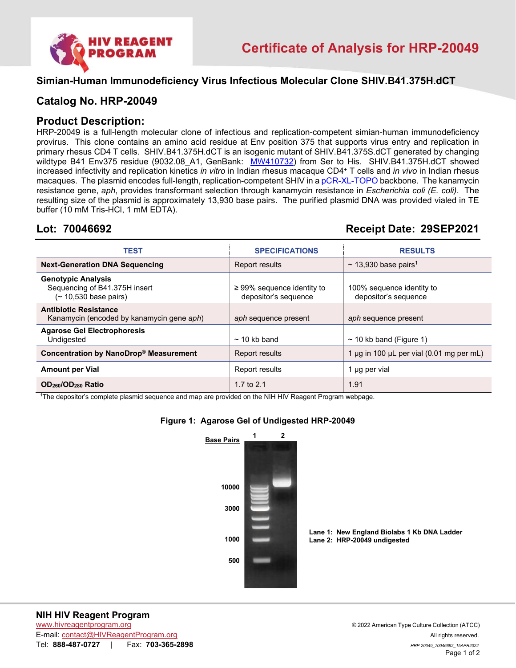

#### **Simian-Human Immunodeficiency Virus Infectious Molecular Clone SHIV.B41.375H.dCT**

### **Catalog No. HRP-20049**

### **Product Description:**

HRP-20049 is a full-length molecular clone of infectious and replication-competent simian-human immunodeficiency provirus. This clone contains an amino acid residue at Env position 375 that supports virus entry and replication in primary rhesus CD4 T cells. SHIV.B41.375H.dCT is an isogenic mutant of SHIV.B41.375S.dCT generated by changing wildtype B41 Env375 residue (9032.08\_A1, GenBank: [MW410732\)](https://www.ncbi.nlm.nih.gov/nuccore/MW410732) from Ser to His. SHIV.B41.375H.dCT showed increased infectivity and replication kinetics *in vitro* in Indian rhesus macaque CD4+ T cells and *in vivo* in Indian rhesus macaques. The plasmid encodes full-length, replication-competent SHIV in [a pCR-XL-TOPO](https://assets.fishersci.com/TFS-Assets/LSG/manuals/TOPO_XL-2_Vector.docx?_ga=2.46259940.233519730.1643146610-1982692922.1643146610) backbone. The kanamycin resistance gene, *aph*, provides transformant selection through kanamycin resistance in *Escherichia coli (E. coli)*. The resulting size of the plasmid is approximately 13,930 base pairs. The purified plasmid DNA was provided vialed in TE buffer (10 mM Tris-HCl, 1 mM EDTA).

## **Lot: 70046692 Receipt Date: 29SEP2021**

| TEST                                                                                | <b>SPECIFICATIONS</b>                                   | <b>RESULTS</b>                                     |
|-------------------------------------------------------------------------------------|---------------------------------------------------------|----------------------------------------------------|
| <b>Next-Generation DNA Sequencing</b>                                               | Report results                                          | $\sim$ 13,930 base pairs <sup>1</sup>              |
| <b>Genotypic Analysis</b><br>Sequencing of B41.375H insert<br>(~ 10,530 base pairs) | $\geq$ 99% sequence identity to<br>depositor's sequence | 100% sequence identity to<br>depositor's sequence  |
| <b>Antibiotic Resistance</b><br>Kanamycin (encoded by kanamycin gene aph)           | aph sequence present                                    | aph sequence present                               |
| <b>Agarose Gel Electrophoresis</b><br>Undigested                                    | $\sim$ 10 kb band                                       | $\sim$ 10 kb band (Figure 1)                       |
| Concentration by NanoDrop® Measurement                                              | Report results                                          | 1 $\mu$ g in 100 $\mu$ L per vial (0.01 mg per mL) |
| <b>Amount per Vial</b>                                                              | Report results                                          | 1 µg per vial                                      |
| OD <sub>260</sub> /OD <sub>280</sub> Ratio                                          | 1.7 to $2.1$                                            | 1.91                                               |

1 The depositor's complete plasmid sequence and map are provided on the NIH HIV Reagent Program webpage.

#### **Figure 1: Agarose Gel of Undigested HRP-20049**



**Lane 1: New England Biolabs 1 Kb DNA Ladder Lane 2: HRP-20049 undigested**